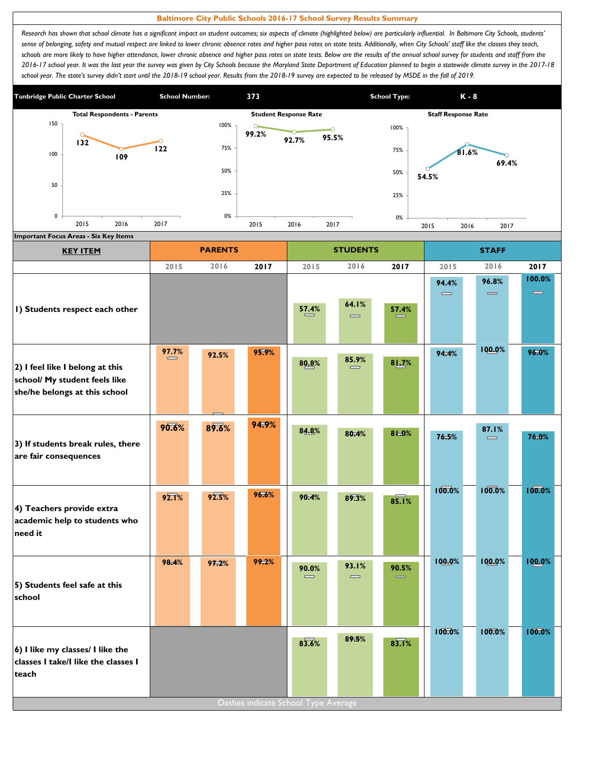## **Baltimore City Public Schools 2016-17 School Survey Results Summary**

Research has shown that school climate has a significant impact on student outcomes; six aspects of climate (highlighted below) are particularly influential. In Baltimore City Schools, students' sense of belonging, safety and mutual respect are linked to lower chronic absence rates and higher pass rates on state tests. Additionally, when City Schools' staff like the classes they teach, schools are more likely to have higher attendance, lower chronic absence and higher pass rates on state tests. Below are the results of the annual school survey for students and staff from the *2016-17 school year. It was the last year the survey was given by City Schools because the Maryland State Department of Education planned to begin a statewide climate survey in the 2017-18*  school year. The state's survey didn't start until the 2018-19 school year. Results from the 2018-19 survey are expected to be released by MSDE in the fall of 2019.



| <b>KEY ITEM</b>                                                                                   |                   | <b>PARENTS</b> |       |                                       | <b>STUDENTS</b>                       |       |                                       | <b>STAFF</b>                          |                    |
|---------------------------------------------------------------------------------------------------|-------------------|----------------|-------|---------------------------------------|---------------------------------------|-------|---------------------------------------|---------------------------------------|--------------------|
|                                                                                                   | 2015              | 2016           | 2017  | 2015                                  | 2016                                  | 2017  | 2015                                  | 2016                                  | 2017               |
|                                                                                                   |                   |                |       |                                       |                                       |       | 94.4%<br>$\qquad \qquad \blacksquare$ | 96.8%<br>$\qquad \qquad \blacksquare$ | 100.0%<br>$\equiv$ |
| I) Students respect each other                                                                    |                   |                |       | 57.4%                                 | 64.1%<br>$\qquad \qquad \blacksquare$ | 57.4% |                                       |                                       |                    |
| 2) I feel like I belong at this<br>school/ My student feels like<br>she/he belongs at this school | 97.7%<br>$\equiv$ | 92.5%          | 95.9% | 80.8%                                 | 85.9%<br>$\equiv$                     | 81.7% | 94.4%                                 | 100.0%                                | 96.0%              |
| 3) If students break rules, there<br>are fair consequences                                        | 90.6%             | 89.6%          | 94.9% | 84.8%                                 | 80.4%                                 | 81.0% | 76.5%                                 | 87.1%<br>$\qquad \qquad \blacksquare$ | 76.0%              |
| 4) Teachers provide extra<br>academic help to students who<br>need it                             | 92.1%             | 92.5%          | 96.6% | 90.4%                                 | 89.3%                                 | 85.1% | 100.0%                                | 100.0%                                | 100.0%             |
| 5) Students feel safe at this<br>school                                                           | 98.4%             | 97.2%          | 99.2% | 90.0%<br>$\qquad \qquad \blacksquare$ | <b>93.1%</b><br>$\equiv$              | 90.5% | 100.0%                                | 100.0%                                | 100.0%             |
| 6) I like my classes/ I like the<br>classes I take/I like the classes I<br>teach                  |                   |                |       | 83.6%                                 | 89.5%                                 | 83.1% | 100.0%                                | 100.0%                                | 100.0%             |